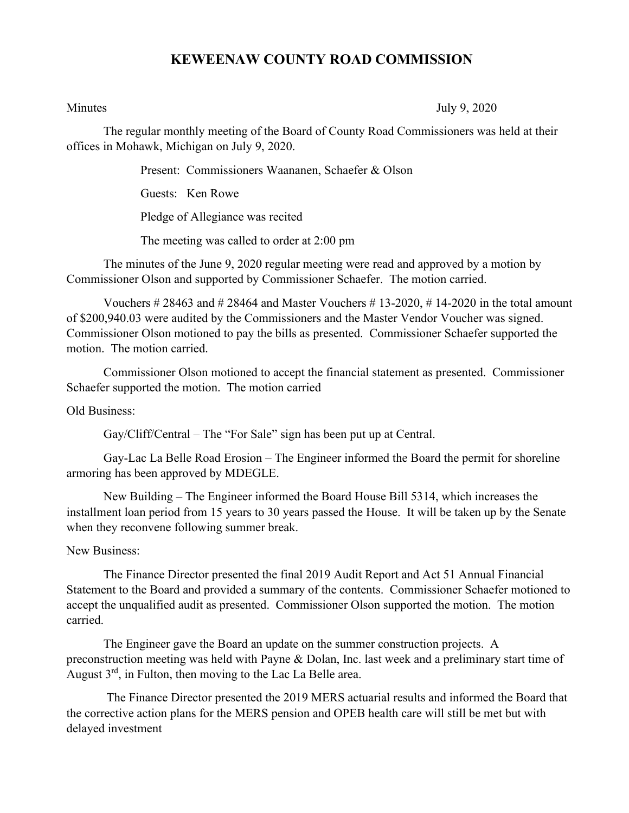## **KEWEENAW COUNTY ROAD COMMISSION**

Minutes July 9, 2020

The regular monthly meeting of the Board of County Road Commissioners was held at their offices in Mohawk, Michigan on July 9, 2020.

Present: Commissioners Waananen, Schaefer & Olson

Guests: Ken Rowe

Pledge of Allegiance was recited

The meeting was called to order at 2:00 pm

The minutes of the June 9, 2020 regular meeting were read and approved by a motion by Commissioner Olson and supported by Commissioner Schaefer. The motion carried.

Vouchers  $\#28463$  and  $\#28464$  and Master Vouchers  $\#13-2020$ ,  $\#14-2020$  in the total amount of \$200,940.03 were audited by the Commissioners and the Master Vendor Voucher was signed. Commissioner Olson motioned to pay the bills as presented. Commissioner Schaefer supported the motion. The motion carried.

Commissioner Olson motioned to accept the financial statement as presented. Commissioner Schaefer supported the motion. The motion carried

Old Business:

Gay/Cliff/Central – The "For Sale" sign has been put up at Central.

Gay-Lac La Belle Road Erosion – The Engineer informed the Board the permit for shoreline armoring has been approved by MDEGLE.

New Building – The Engineer informed the Board House Bill 5314, which increases the installment loan period from 15 years to 30 years passed the House. It will be taken up by the Senate when they reconvene following summer break.

## New Business:

The Finance Director presented the final 2019 Audit Report and Act 51 Annual Financial Statement to the Board and provided a summary of the contents. Commissioner Schaefer motioned to accept the unqualified audit as presented. Commissioner Olson supported the motion. The motion carried.

The Engineer gave the Board an update on the summer construction projects. A preconstruction meeting was held with Payne & Dolan, Inc. last week and a preliminary start time of August  $3^{rd}$ , in Fulton, then moving to the Lac La Belle area.

The Finance Director presented the 2019 MERS actuarial results and informed the Board that the corrective action plans for the MERS pension and OPEB health care will still be met but with delayed investment